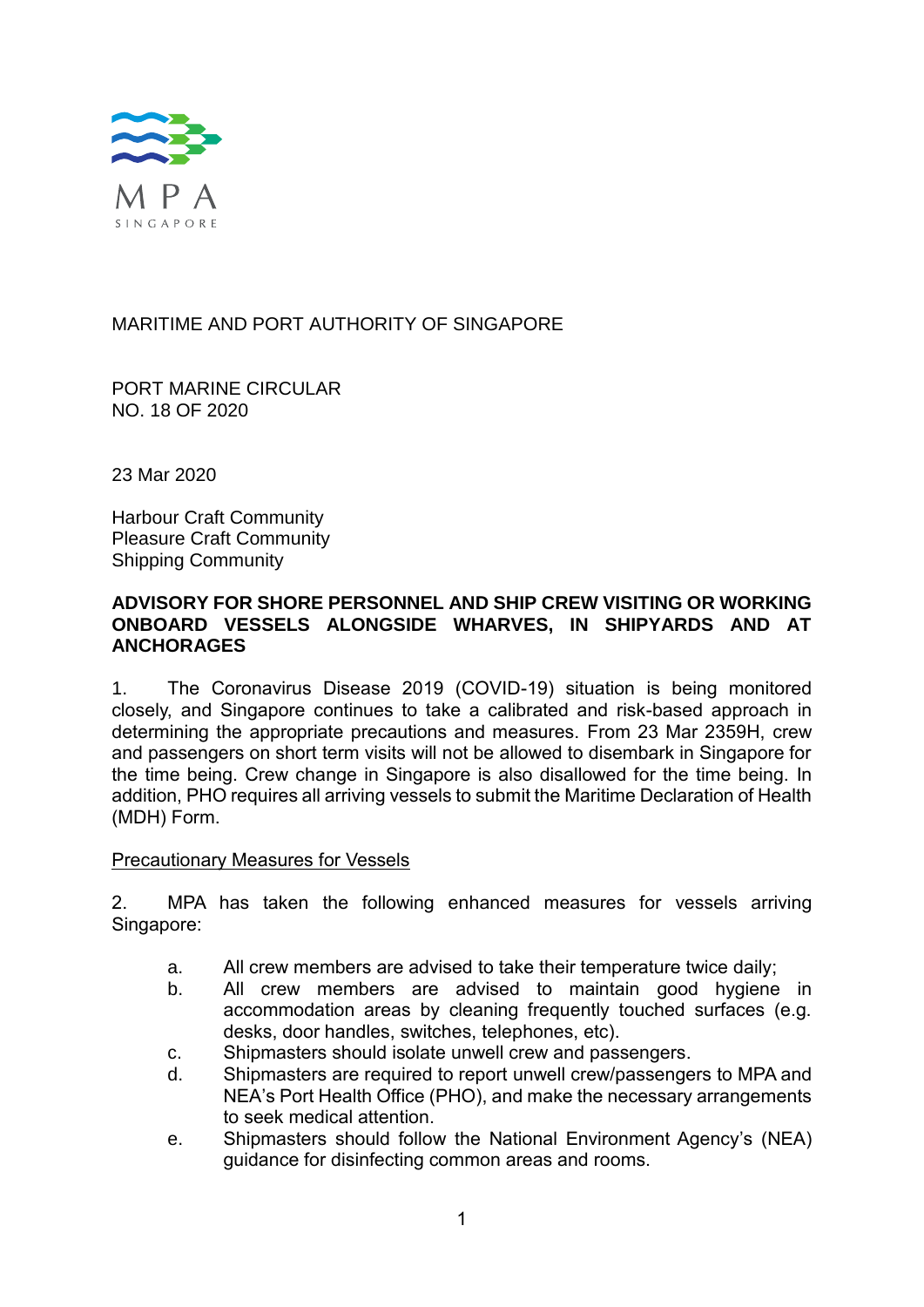

MARITIME AND PORT AUTHORITY OF SINGAPORE

PORT MARINE CIRCULAR NO. 18 OF 2020

23 Mar 2020

Harbour Craft Community Pleasure Craft Community Shipping Community

## **ADVISORY FOR SHORE PERSONNEL AND SHIP CREW VISITING OR WORKING ONBOARD VESSELS ALONGSIDE WHARVES, IN SHIPYARDS AND AT ANCHORAGES**

1. The Coronavirus Disease 2019 (COVID-19) situation is being monitored closely, and Singapore continues to take a calibrated and risk-based approach in determining the appropriate precautions and measures. From 23 Mar 2359H, crew and passengers on short term visits will not be allowed to disembark in Singapore for the time being. Crew change in Singapore is also disallowed for the time being. In addition, PHO requires all arriving vessels to submit the Maritime Declaration of Health (MDH) Form.

## Precautionary Measures for Vessels

2. MPA has taken the following enhanced measures for vessels arriving Singapore:

- a. All crew members are advised to take their temperature twice daily;
- b. All crew members are advised to maintain good hygiene in accommodation areas by cleaning frequently touched surfaces (e.g. desks, door handles, switches, telephones, etc).
- c. Shipmasters should isolate unwell crew and passengers.
- d. Shipmasters are required to report unwell crew/passengers to MPA and NEA's Port Health Office (PHO), and make the necessary arrangements to seek medical attention.
- e. Shipmasters should follow the National Environment Agency's (NEA) guidance for disinfecting common areas and rooms.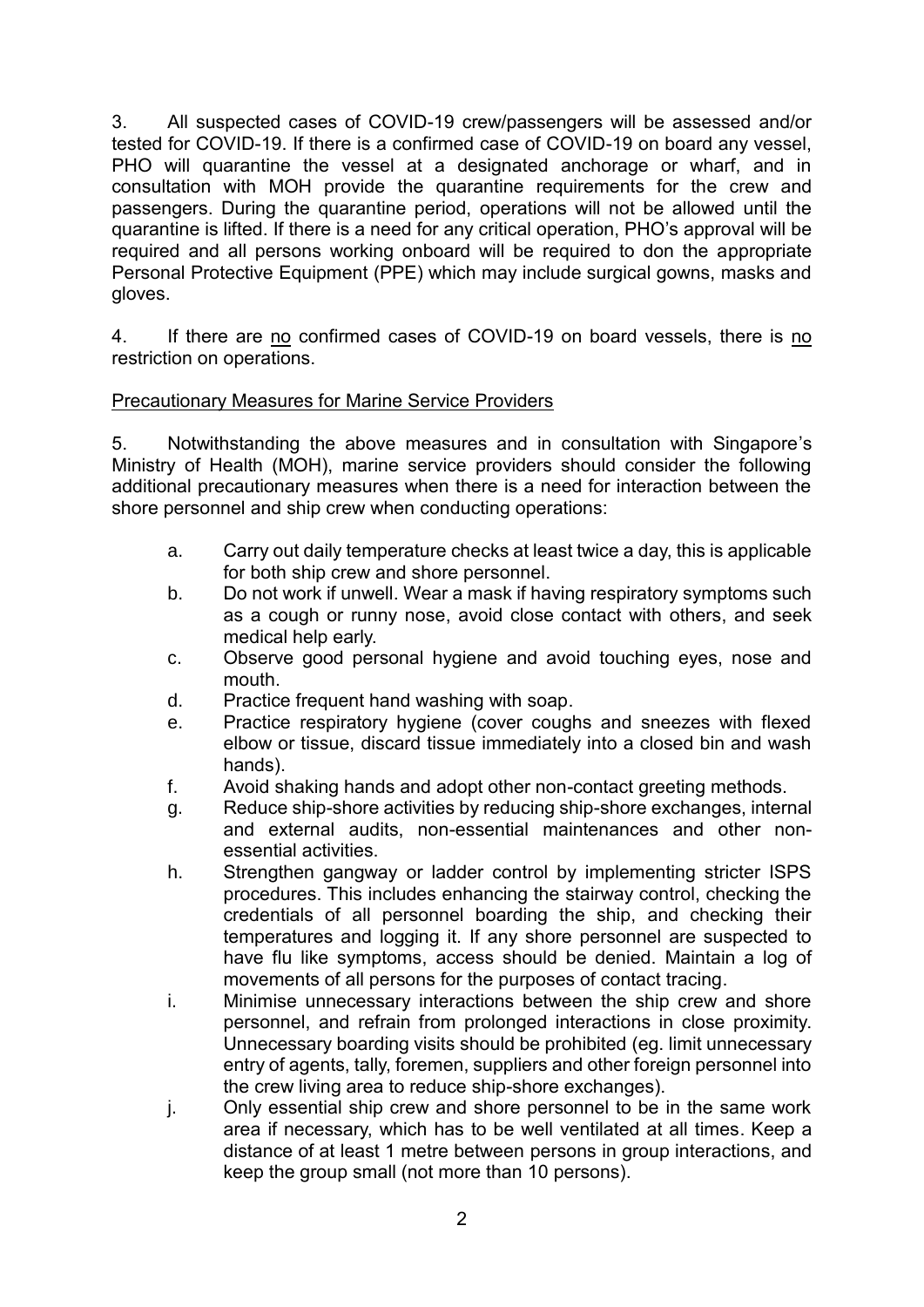3. All suspected cases of COVID-19 crew/passengers will be assessed and/or tested for COVID-19. If there is a confirmed case of COVID-19 on board any vessel, PHO will quarantine the vessel at a designated anchorage or wharf, and in consultation with MOH provide the quarantine requirements for the crew and passengers. During the quarantine period, operations will not be allowed until the quarantine is lifted. If there is a need for any critical operation, PHO's approval will be required and all persons working onboard will be required to don the appropriate Personal Protective Equipment (PPE) which may include surgical gowns, masks and gloves.

4. If there are no confirmed cases of COVID-19 on board vessels, there is no restriction on operations.

## Precautionary Measures for Marine Service Providers

5. Notwithstanding the above measures and in consultation with Singapore's Ministry of Health (MOH), marine service providers should consider the following additional precautionary measures when there is a need for interaction between the shore personnel and ship crew when conducting operations:

- a. Carry out daily temperature checks at least twice a day, this is applicable for both ship crew and shore personnel.
- b. Do not work if unwell. Wear a mask if having respiratory symptoms such as a cough or runny nose, avoid close contact with others, and seek medical help early.
- c. Observe good personal hygiene and avoid touching eyes, nose and mouth.
- d. Practice frequent hand washing with soap.
- e. Practice respiratory hygiene (cover coughs and sneezes with flexed elbow or tissue, discard tissue immediately into a closed bin and wash hands).
- f. Avoid shaking hands and adopt other non-contact greeting methods.
- g. Reduce ship-shore activities by reducing ship-shore exchanges, internal and external audits, non-essential maintenances and other nonessential activities.
- h. Strengthen gangway or ladder control by implementing stricter ISPS procedures. This includes enhancing the stairway control, checking the credentials of all personnel boarding the ship, and checking their temperatures and logging it. If any shore personnel are suspected to have flu like symptoms, access should be denied. Maintain a log of movements of all persons for the purposes of contact tracing.
- i. Minimise unnecessary interactions between the ship crew and shore personnel, and refrain from prolonged interactions in close proximity. Unnecessary boarding visits should be prohibited (eg. limit unnecessary entry of agents, tally, foremen, suppliers and other foreign personnel into the crew living area to reduce ship-shore exchanges).
- j. Only essential ship crew and shore personnel to be in the same work area if necessary, which has to be well ventilated at all times. Keep a distance of at least 1 metre between persons in group interactions, and keep the group small (not more than 10 persons).